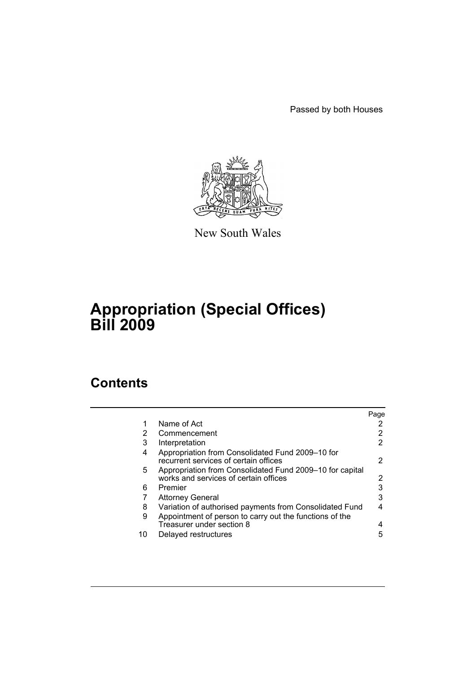Passed by both Houses



New South Wales

# **Appropriation (Special Offices) Bill 2009**

## **Contents**

|    |                                                                                                   | Page |
|----|---------------------------------------------------------------------------------------------------|------|
| 1  | Name of Act                                                                                       |      |
| 2  | Commencement                                                                                      | 2    |
| 3  | Interpretation                                                                                    | 2    |
| 4  | Appropriation from Consolidated Fund 2009–10 for<br>recurrent services of certain offices         | 2    |
| 5. | Appropriation from Consolidated Fund 2009–10 for capital<br>works and services of certain offices | 2    |
| 6  | Premier                                                                                           | 3    |
| 7  | <b>Attorney General</b>                                                                           | 3    |
| 8  | Variation of authorised payments from Consolidated Fund                                           | 4    |
| 9  | Appointment of person to carry out the functions of the<br>Treasurer under section 8              | 4    |
| 10 | Delayed restructures                                                                              | 5    |
|    |                                                                                                   |      |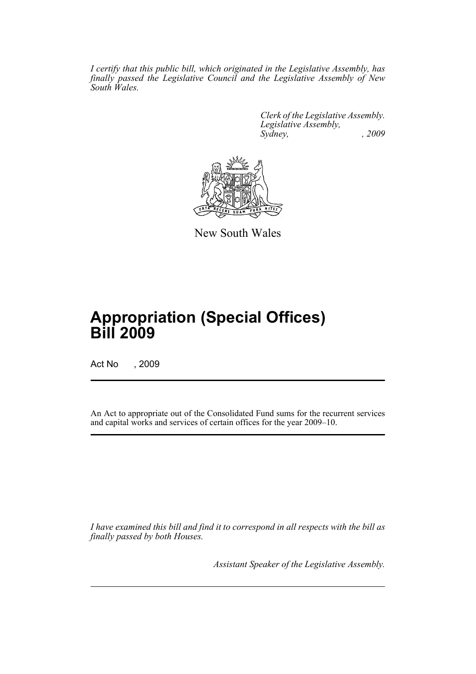*I certify that this public bill, which originated in the Legislative Assembly, has finally passed the Legislative Council and the Legislative Assembly of New South Wales.*

> *Clerk of the Legislative Assembly. Legislative Assembly, Sydney, , 2009*



New South Wales

## **Appropriation (Special Offices) Bill 2009**

Act No , 2009

An Act to appropriate out of the Consolidated Fund sums for the recurrent services and capital works and services of certain offices for the year 2009–10.

*I have examined this bill and find it to correspond in all respects with the bill as finally passed by both Houses.*

*Assistant Speaker of the Legislative Assembly.*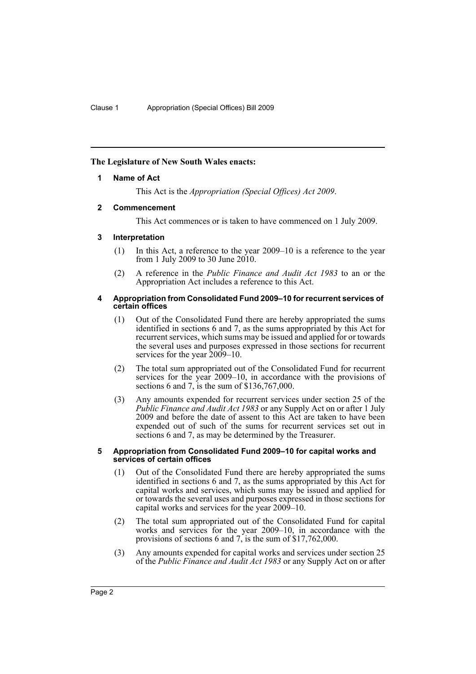## <span id="page-2-0"></span>**The Legislature of New South Wales enacts:**

## **1 Name of Act**

This Act is the *Appropriation (Special Offices) Act 2009*.

## <span id="page-2-1"></span>**2 Commencement**

This Act commences or is taken to have commenced on 1 July 2009.

## <span id="page-2-2"></span>**3 Interpretation**

- (1) In this Act, a reference to the year 2009–10 is a reference to the year from 1 July 2009 to 30 June 2010.
- (2) A reference in the *Public Finance and Audit Act 1983* to an or the Appropriation Act includes a reference to this Act.

#### <span id="page-2-3"></span>**4 Appropriation from Consolidated Fund 2009–10 for recurrent services of certain offices**

- (1) Out of the Consolidated Fund there are hereby appropriated the sums identified in sections 6 and 7, as the sums appropriated by this Act for recurrent services, which sums may be issued and applied for or towards the several uses and purposes expressed in those sections for recurrent services for the year 2009–10.
- (2) The total sum appropriated out of the Consolidated Fund for recurrent services for the year 2009–10, in accordance with the provisions of sections 6 and 7, is the sum of \$136,767,000.
- (3) Any amounts expended for recurrent services under section 25 of the *Public Finance and Audit Act 1983* or any Supply Act on or after 1 July 2009 and before the date of assent to this Act are taken to have been expended out of such of the sums for recurrent services set out in sections 6 and 7, as may be determined by the Treasurer.

#### <span id="page-2-4"></span>**5 Appropriation from Consolidated Fund 2009–10 for capital works and services of certain offices**

- (1) Out of the Consolidated Fund there are hereby appropriated the sums identified in sections 6 and 7, as the sums appropriated by this Act for capital works and services, which sums may be issued and applied for or towards the several uses and purposes expressed in those sections for capital works and services for the year 2009–10.
- (2) The total sum appropriated out of the Consolidated Fund for capital works and services for the year 2009–10, in accordance with the provisions of sections 6 and 7, is the sum of \$17,762,000.
- (3) Any amounts expended for capital works and services under section 25 of the *Public Finance and Audit Act 1983* or any Supply Act on or after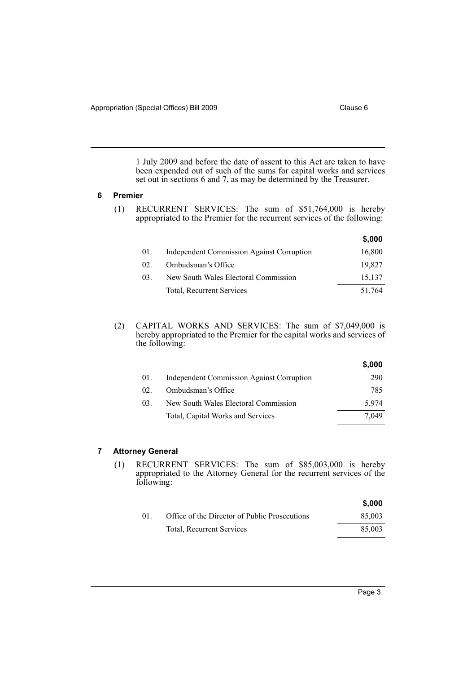1 July 2009 and before the date of assent to this Act are taken to have been expended out of such of the sums for capital works and services set out in sections 6 and 7, as may be determined by the Treasurer.

## <span id="page-3-0"></span>**6 Premier**

(1) RECURRENT SERVICES: The sum of \$51,764,000 is hereby appropriated to the Premier for the recurrent services of the following:

|     |                                                  | \$,000 |
|-----|--------------------------------------------------|--------|
| 01. | <b>Independent Commission Against Corruption</b> | 16,800 |
| 02  | Ombudsman's Office                               | 19,827 |
| 03. | New South Wales Electoral Commission             | 15,137 |
|     | Total, Recurrent Services                        | 51,764 |
|     |                                                  |        |

(2) CAPITAL WORKS AND SERVICES: The sum of \$7,049,000 is hereby appropriated to the Premier for the capital works and services of the following:

|              |                                                  | \$,000 |
|--------------|--------------------------------------------------|--------|
| 01.          | <b>Independent Commission Against Corruption</b> | 290    |
| $02^{\circ}$ | Ombudsman's Office                               | 785    |
| 03.          | New South Wales Electoral Commission             | 5.974  |
|              | Total, Capital Works and Services                | 7.049  |

## <span id="page-3-1"></span>**7 Attorney General**

(1) RECURRENT SERVICES: The sum of \$85,003,000 is hereby appropriated to the Attorney General for the recurrent services of the following:

|    |                                               | \$.000 |
|----|-----------------------------------------------|--------|
| 01 | Office of the Director of Public Prosecutions | 85,003 |
|    | <b>Total, Recurrent Services</b>              | 85,003 |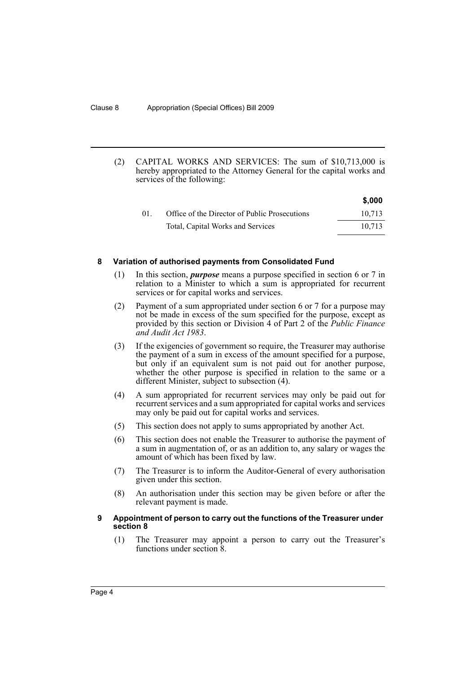(2) CAPITAL WORKS AND SERVICES: The sum of \$10,713,000 is hereby appropriated to the Attorney General for the capital works and services of the following:

|        |                                               | \$,000 |
|--------|-----------------------------------------------|--------|
| $01$ . | Office of the Director of Public Prosecutions | 10.713 |
|        | Total, Capital Works and Services             | 10.713 |

### <span id="page-4-0"></span>**8 Variation of authorised payments from Consolidated Fund**

- (1) In this section, *purpose* means a purpose specified in section 6 or 7 in relation to a Minister to which a sum is appropriated for recurrent services or for capital works and services.
- (2) Payment of a sum appropriated under section 6 or 7 for a purpose may not be made in excess of the sum specified for the purpose, except as provided by this section or Division 4 of Part 2 of the *Public Finance and Audit Act 1983*.
- (3) If the exigencies of government so require, the Treasurer may authorise the payment of a sum in excess of the amount specified for a purpose, but only if an equivalent sum is not paid out for another purpose, whether the other purpose is specified in relation to the same or a different Minister, subject to subsection (4).
- (4) A sum appropriated for recurrent services may only be paid out for recurrent services and a sum appropriated for capital works and services may only be paid out for capital works and services.
- (5) This section does not apply to sums appropriated by another Act.
- (6) This section does not enable the Treasurer to authorise the payment of a sum in augmentation of, or as an addition to, any salary or wages the amount of which has been fixed by law.
- (7) The Treasurer is to inform the Auditor-General of every authorisation given under this section.
- (8) An authorisation under this section may be given before or after the relevant payment is made.

## <span id="page-4-1"></span>**9 Appointment of person to carry out the functions of the Treasurer under section 8**

(1) The Treasurer may appoint a person to carry out the Treasurer's functions under section 8.